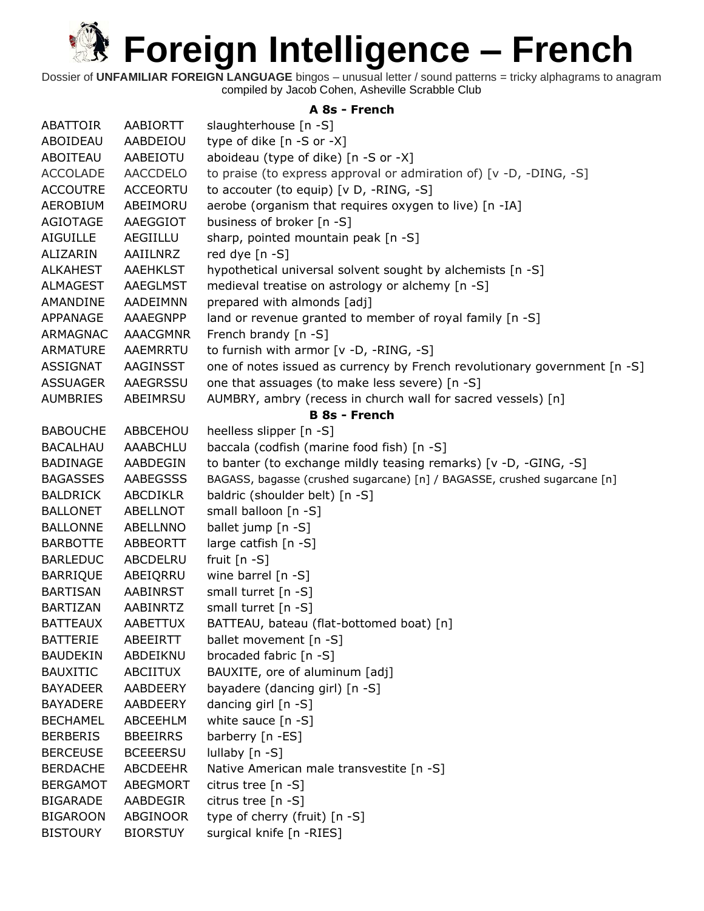Dossier of **UNFAMILIAR FOREIGN LANGUAGE** bingos – unusual letter / sound patterns = tricky alphagrams to anagram compiled by Jacob Cohen, Asheville Scrabble Club

#### **A 8s - French**

| <b>ABATTOIR</b> | AABIORTT        | slaughterhouse [n -S]                                                     |
|-----------------|-----------------|---------------------------------------------------------------------------|
| ABOIDEAU        | AABDEIOU        | type of dike [n -S or -X]                                                 |
| ABOITEAU        | AABEIOTU        | aboideau (type of dike) [n -S or -X]                                      |
| <b>ACCOLADE</b> | <b>AACCDELO</b> | to praise (to express approval or admiration of) [v -D, -DING, -S]        |
| <b>ACCOUTRE</b> | <b>ACCEORTU</b> | to accouter (to equip) [v D, -RING, -S]                                   |
| <b>AEROBIUM</b> | ABEIMORU        | aerobe (organism that requires oxygen to live) [n -IA]                    |
| AGIOTAGE        | AAEGGIOT        | business of broker [n -S]                                                 |
| <b>AIGUILLE</b> | AEGIILLU        | sharp, pointed mountain peak [n -S]                                       |
| ALIZARIN        | AAIILNRZ        | red dye [n -S]                                                            |
| <b>ALKAHEST</b> | <b>AAEHKLST</b> | hypothetical universal solvent sought by alchemists [n -S]                |
| ALMAGEST        | AAEGLMST        | medieval treatise on astrology or alchemy [n -S]                          |
| AMANDINE        | AADEIMNN        | prepared with almonds [adj]                                               |
| APPANAGE        | AAAEGNPP        | land or revenue granted to member of royal family [n -S]                  |
| ARMAGNAC        | <b>AAACGMNR</b> | French brandy [n -S]                                                      |
| ARMATURE        | AAEMRRTU        | to furnish with armor [v -D, -RING, -S]                                   |
| <b>ASSIGNAT</b> | AAGINSST        | one of notes issued as currency by French revolutionary government [n -S] |
| <b>ASSUAGER</b> | <b>AAEGRSSU</b> | one that assuages (to make less severe) [n -S]                            |
| <b>AUMBRIES</b> | ABEIMRSU        | AUMBRY, ambry (recess in church wall for sacred vessels) [n]              |
|                 |                 | <b>B 8s - French</b>                                                      |
| <b>BABOUCHE</b> | ABBCEHOU        | heelless slipper [n -S]                                                   |
| <b>BACALHAU</b> | <b>AAABCHLU</b> | baccala (codfish (marine food fish) [n -S]                                |
| <b>BADINAGE</b> | AABDEGIN        | to banter (to exchange mildly teasing remarks) [v -D, -GING, -S]          |
| <b>BAGASSES</b> | AABEGSSS        | BAGASS, bagasse (crushed sugarcane) [n] / BAGASSE, crushed sugarcane [n]  |
| <b>BALDRICK</b> | ABCDIKLR        | baldric (shoulder belt) [n -S]                                            |
| <b>BALLONET</b> | ABELLNOT        | small balloon [n -S]                                                      |
| <b>BALLONNE</b> | ABELLNNO        | ballet jump [n -S]                                                        |
| <b>BARBOTTE</b> | ABBEORTT        | large catfish [n -S]                                                      |
| <b>BARLEDUC</b> | ABCDELRU        | fruit $[n - S]$                                                           |
| <b>BARRIQUE</b> | ABEIQRRU        | wine barrel $[n - S]$                                                     |
| <b>BARTISAN</b> | AABINRST        | small turret [n -S]                                                       |
| <b>BARTIZAN</b> | AABINRTZ        | small turret [n -S]                                                       |
| <b>BATTEAUX</b> | AABETTUX        | BATTEAU, bateau (flat-bottomed boat) [n]                                  |
| <b>BATTERIE</b> | ABEEIRTT        | ballet movement [n -S]                                                    |
| <b>BAUDEKIN</b> | ABDEIKNU        | brocaded fabric [n -S]                                                    |
| <b>BAUXITIC</b> | ABCIITUX        | BAUXITE, ore of aluminum [adj]                                            |
| <b>BAYADEER</b> | AABDEERY        | bayadere (dancing girl) [n -S]                                            |
| <b>BAYADERE</b> | AABDEERY        | dancing girl $[n -S]$                                                     |
| <b>BECHAMEL</b> | ABCEEHLM        | white sauce $[n - S]$                                                     |
| <b>BERBERIS</b> | <b>BBEEIRRS</b> | barberry [n -ES]                                                          |
| <b>BERCEUSE</b> | <b>BCEEERSU</b> | lullaby [n -S]                                                            |
| <b>BERDACHE</b> | <b>ABCDEEHR</b> | Native American male transvestite [n -S]                                  |
| <b>BERGAMOT</b> | ABEGMORT        | citrus tree [n -S]                                                        |
| <b>BIGARADE</b> | AABDEGIR        | citrus tree [n -S]                                                        |
| <b>BIGAROON</b> | ABGINOOR        | type of cherry (fruit) [n -S]                                             |
| <b>BISTOURY</b> | <b>BIORSTUY</b> | surgical knife [n -RIES]                                                  |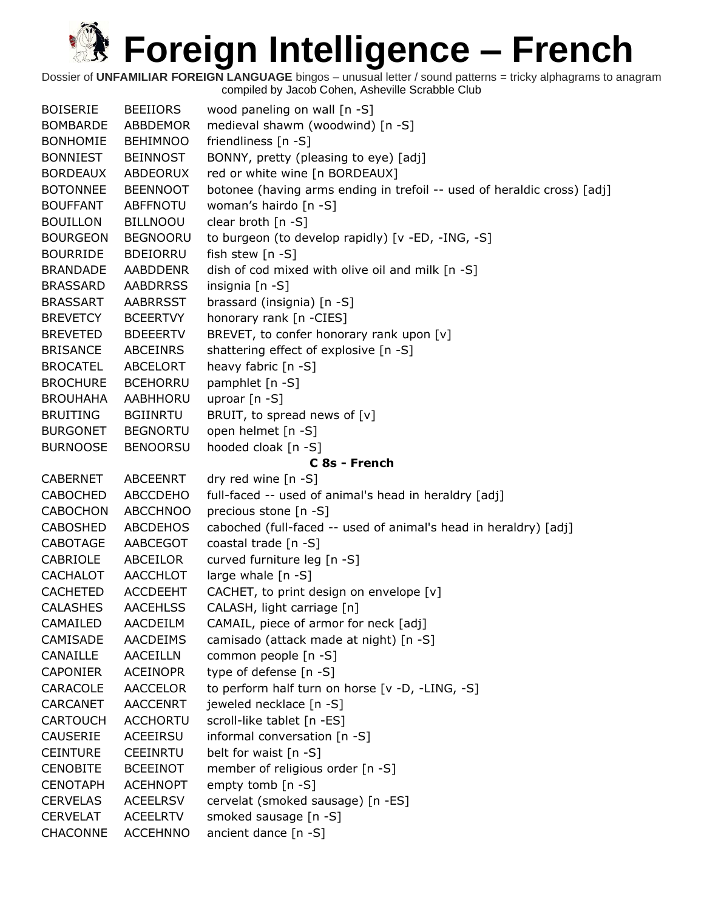| <b>BOISERIE</b> | <b>BEEIIORS</b> | wood paneling on wall [n -S]                                            |
|-----------------|-----------------|-------------------------------------------------------------------------|
| <b>BOMBARDE</b> | ABBDEMOR        | medieval shawm (woodwind) [n -S]                                        |
| <b>BONHOMIE</b> | <b>BEHIMNOO</b> | friendliness [n -S]                                                     |
| <b>BONNIEST</b> | <b>BEINNOST</b> | BONNY, pretty (pleasing to eye) [adj]                                   |
| <b>BORDEAUX</b> | ABDEORUX        | red or white wine [n BORDEAUX]                                          |
| <b>BOTONNEE</b> | <b>BEENNOOT</b> | botonee (having arms ending in trefoil -- used of heraldic cross) [adj] |
| <b>BOUFFANT</b> | <b>ABFFNOTU</b> | woman's hairdo [n -S]                                                   |
| <b>BOUILLON</b> | <b>BILLNOOU</b> | clear broth [n -S]                                                      |
| <b>BOURGEON</b> | <b>BEGNOORU</b> | to burgeon (to develop rapidly) [v -ED, -ING, -S]                       |
| <b>BOURRIDE</b> | <b>BDEIORRU</b> | fish stew [n -S]                                                        |
| <b>BRANDADE</b> | <b>AABDDENR</b> | dish of cod mixed with olive oil and milk [n -S]                        |
| <b>BRASSARD</b> | <b>AABDRRSS</b> | insignia [n -S]                                                         |
| <b>BRASSART</b> | <b>AABRRSST</b> | brassard (insignia) [n -S]                                              |
| <b>BREVETCY</b> | <b>BCEERTVY</b> | honorary rank [n -CIES]                                                 |
| <b>BREVETED</b> | <b>BDEEERTV</b> | BREVET, to confer honorary rank upon [v]                                |
| <b>BRISANCE</b> | <b>ABCEINRS</b> | shattering effect of explosive [n -S]                                   |
| <b>BROCATEL</b> | <b>ABCELORT</b> | heavy fabric [n -S]                                                     |
| <b>BROCHURE</b> | <b>BCEHORRU</b> | pamphlet [n -S]                                                         |
| <b>BROUHAHA</b> | AABHHORU        | uproar $[n - S]$                                                        |
| <b>BRUITING</b> | <b>BGIINRTU</b> | BRUIT, to spread news of [v]                                            |
| <b>BURGONET</b> | <b>BEGNORTU</b> | open helmet [n -S]                                                      |
| <b>BURNOOSE</b> | <b>BENOORSU</b> | hooded cloak [n -S]                                                     |
|                 |                 | C 8s - French                                                           |
| <b>CABERNET</b> | <b>ABCEENRT</b> | dry red wine [n -S]                                                     |
| <b>CABOCHED</b> | <b>ABCCDEHO</b> | full-faced -- used of animal's head in heraldry [adj]                   |
| <b>CABOCHON</b> | <b>ABCCHNOO</b> | precious stone [n -S]                                                   |
| <b>CABOSHED</b> | <b>ABCDEHOS</b> | caboched (full-faced -- used of animal's head in heraldry) [adj]        |
| CABOTAGE        | AABCEGOT        | coastal trade [n -S]                                                    |
| CABRIOLE        | ABCEILOR        | curved furniture leg [n -S]                                             |
| <b>CACHALOT</b> | <b>AACCHLOT</b> | large whale $[n -S]$                                                    |
| CACHETED        | <b>ACCDEEHT</b> | CACHET, to print design on envelope [v]                                 |
| <b>CALASHES</b> | <b>AACEHLSS</b> | CALASH, light carriage [n]                                              |
| CAMAILED        | AACDEILM        | CAMAIL, piece of armor for neck [adj]                                   |
| CAMISADE        | <b>AACDEIMS</b> | camisado (attack made at night) [n -S]                                  |
| CANAILLE        | AACEILLN        | common people [n -S]                                                    |
| <b>CAPONIER</b> | <b>ACEINOPR</b> | type of defense [n -S]                                                  |
| CARACOLE        | <b>AACCELOR</b> | to perform half turn on horse [v -D, -LING, -S]                         |
| <b>CARCANET</b> | <b>AACCENRT</b> | jeweled necklace [n -S]                                                 |
| <b>CARTOUCH</b> | <b>ACCHORTU</b> | scroll-like tablet [n -ES]                                              |
| <b>CAUSERIE</b> | ACEEIRSU        | informal conversation [n -S]                                            |
| <b>CEINTURE</b> | <b>CEEINRTU</b> | belt for waist [n -S]                                                   |
| <b>CENOBITE</b> | <b>BCEEINOT</b> | member of religious order [n -S]                                        |
| <b>CENOTAPH</b> | <b>ACEHNOPT</b> | empty tomb [n -S]                                                       |
| <b>CERVELAS</b> | <b>ACEELRSV</b> | cervelat (smoked sausage) [n -ES]                                       |
| <b>CERVELAT</b> | <b>ACEELRTV</b> | smoked sausage [n -S]                                                   |
| CHACONNE        | <b>ACCEHNNO</b> | ancient dance [n -S]                                                    |
|                 |                 |                                                                         |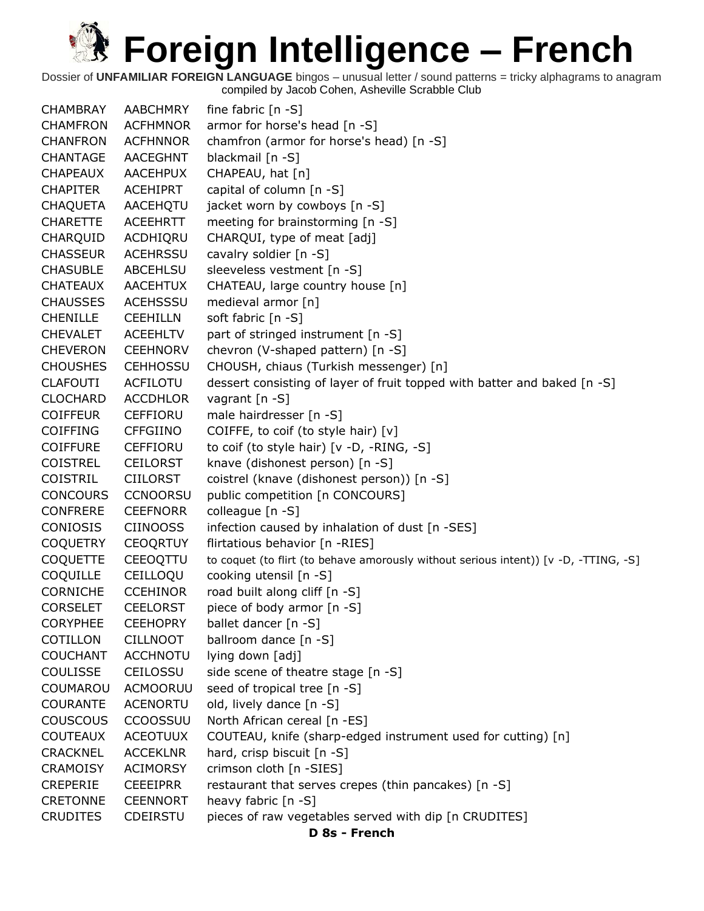Dossier of **UNFAMILIAR FOREIGN LANGUAGE** bingos – unusual letter / sound patterns = tricky alphagrams to anagram compiled by Jacob Cohen, Asheville Scrabble Club

CHAMBRAY AABCHMRY fine fabric [n -S] CHAMFRON ACFHMNOR armor for horse's head [n -S] CHANFRON ACFHNNOR chamfron (armor for horse's head) [n -S] CHANTAGE AACEGHNT blackmail [n -S] CHAPEAUX AACEHPUX CHAPEAU, hat [n] CHAPITER ACEHIPRT capital of column [n -S] CHAQUETA AACEHQTU jacket worn by cowboys [n -S] CHARETTE ACEEHRTT meeting for brainstorming [n -S] CHARQUID ACDHIQRU CHARQUI, type of meat [adj] CHASSEUR ACEHRSSU cavalry soldier [n -S] CHASUBLE ABCEHLSU sleeveless vestment [n -S] CHATEAUX AACEHTUX CHATEAU, large country house [n] CHAUSSES ACEHSSSU medieval armor [n] CHENILLE CEEHILLN soft fabric [n -S] CHEVALET ACEEHLTV part of stringed instrument [n -S] CHEVERON CEEHNORV chevron (V-shaped pattern) [n -S] CHOUSHES CEHHOSSU CHOUSH, chiaus (Turkish messenger) [n] CLAFOUTI ACFILOTU dessert consisting of layer of fruit topped with batter and baked [n -S] CLOCHARD ACCDHLOR vagrant [n -S] COIFFEUR CEFFIORU male hairdresser [n -S] COIFFING CFFGIINO COIFFE, to coif (to style hair) [v] COIFFURE CEFFIORU to coif (to style hair) [v -D, -RING, -S] COISTREL CEILORST knave (dishonest person) [n -S] COISTRIL CIILORST coistrel (knave (dishonest person)) [n -S] CONCOURS CCNOORSU public competition [n CONCOURS] CONFRERE CEEFNORR colleague [n -S] CONIOSIS CIINOOSS infection caused by inhalation of dust [n -SES] COQUETRY CEOQRTUY flirtatious behavior [n -RIES] COQUETTE CEEOQTTU to coquet (to flirt (to behave amorously without serious intent)) [v -D, -TTING, -S] COQUILLE CEILLOQU cooking utensil [n -S] CORNICHE CCEHINOR road built along cliff [n -S] CORSELET CEELORST piece of body armor [n -S] CORYPHEE CEEHOPRY ballet dancer [n -S] COTILLON CILLNOOT ballroom dance [n -S] COUCHANT ACCHNOTU lying down [adj] COULISSE CEILOSSU side scene of theatre stage [n -S] COUMAROU ACMOORUU seed of tropical tree [n -S] COURANTE ACENORTU old, lively dance [n -S] COUSCOUS CCOOSSUU North African cereal [n -ES] COUTEAUX ACEOTUUX COUTEAU, knife (sharp-edged instrument used for cutting) [n] CRACKNEL ACCEKLNR hard, crisp biscuit [n -S] CRAMOISY ACIMORSY crimson cloth [n -SIES] CREPERIE CEEEIPRR restaurant that serves crepes (thin pancakes) [n -S] CRETONNE CEENNORT heavy fabric [n -S] CRUDITES CDEIRSTU pieces of raw vegetables served with dip [n CRUDITES] **D 8s - French**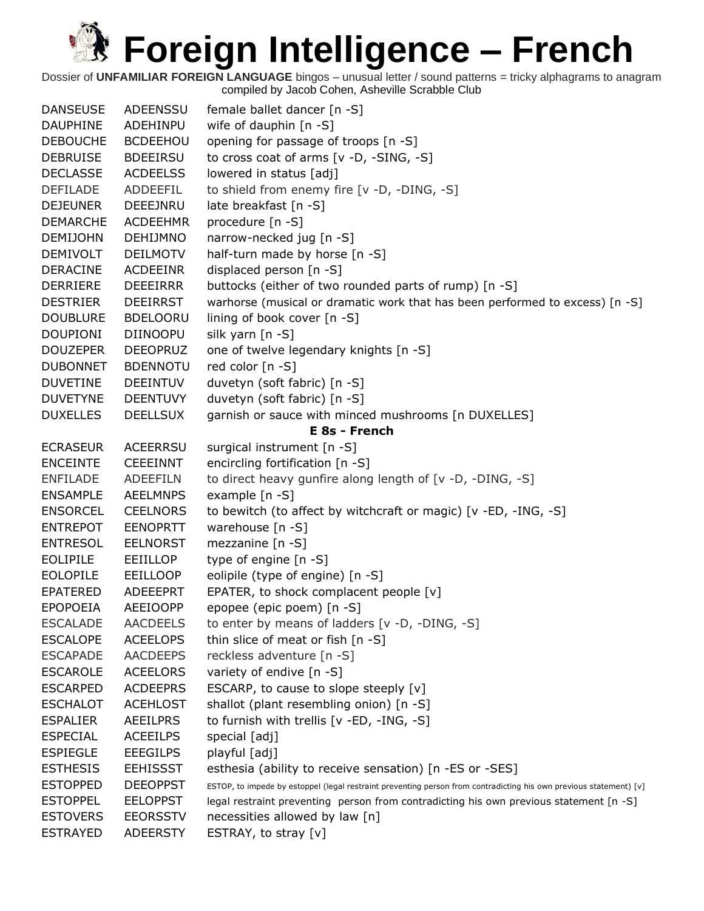| <b>DANSEUSE</b> | <b>ADEENSSU</b> | female ballet dancer [n -S]                                                                                        |
|-----------------|-----------------|--------------------------------------------------------------------------------------------------------------------|
| <b>DAUPHINE</b> | ADEHINPU        | wife of dauphin [n -S]                                                                                             |
| <b>DEBOUCHE</b> | <b>BCDEEHOU</b> | opening for passage of troops [n -S]                                                                               |
| <b>DEBRUISE</b> | <b>BDEEIRSU</b> | to cross coat of arms [v -D, -SING, -S]                                                                            |
| <b>DECLASSE</b> | <b>ACDEELSS</b> | lowered in status [adj]                                                                                            |
| <b>DEFILADE</b> | ADDEEFIL        | to shield from enemy fire [v -D, -DING, -S]                                                                        |
| <b>DEJEUNER</b> | DEEEJNRU        | late breakfast [n -S]                                                                                              |
| <b>DEMARCHE</b> | <b>ACDEEHMR</b> | procedure [n -S]                                                                                                   |
| <b>DEMIJOHN</b> | <b>DEHIJMNO</b> | narrow-necked jug [n -S]                                                                                           |
| <b>DEMIVOLT</b> | <b>DEILMOTV</b> | half-turn made by horse [n -S]                                                                                     |
| <b>DERACINE</b> | <b>ACDEEINR</b> | displaced person [n -S]                                                                                            |
| <b>DERRIERE</b> | <b>DEEEIRRR</b> | buttocks (either of two rounded parts of rump) [n -S]                                                              |
| <b>DESTRIER</b> | <b>DEEIRRST</b> | warhorse (musical or dramatic work that has been performed to excess) [n -S]                                       |
| <b>DOUBLURE</b> | <b>BDELOORU</b> | lining of book cover [n -S]                                                                                        |
| <b>DOUPIONI</b> | DIINOOPU        | silk yarn [n -S]                                                                                                   |
| <b>DOUZEPER</b> | <b>DEEOPRUZ</b> | one of twelve legendary knights [n -S]                                                                             |
| <b>DUBONNET</b> | <b>BDENNOTU</b> | red color [n -S]                                                                                                   |
| <b>DUVETINE</b> | <b>DEEINTUV</b> | duvetyn (soft fabric) [n -S]                                                                                       |
| <b>DUVETYNE</b> | <b>DEENTUVY</b> | duvetyn (soft fabric) [n -S]                                                                                       |
| <b>DUXELLES</b> | <b>DEELLSUX</b> | garnish or sauce with minced mushrooms [n DUXELLES]                                                                |
|                 |                 | E 8s - French                                                                                                      |
| <b>ECRASEUR</b> | <b>ACEERRSU</b> | surgical instrument [n -S]                                                                                         |
| <b>ENCEINTE</b> | <b>CEEEINNT</b> | encircling fortification [n -S]                                                                                    |
| <b>ENFILADE</b> | <b>ADEEFILN</b> | to direct heavy gunfire along length of [v -D, -DING, -S]                                                          |
| <b>ENSAMPLE</b> | <b>AEELMNPS</b> | example [n -S]                                                                                                     |
| <b>ENSORCEL</b> | <b>CEELNORS</b> | to bewitch (to affect by witchcraft or magic) [v -ED, -ING, -S]                                                    |
| <b>ENTREPOT</b> | <b>EENOPRTT</b> | warehouse [n -S]                                                                                                   |
| <b>ENTRESOL</b> | <b>EELNORST</b> | mezzanine [n -S]                                                                                                   |
| <b>EOLIPILE</b> | EEIILLOP        | type of engine [n -S]                                                                                              |
| <b>EOLOPILE</b> | EEILLOOP        | eolipile (type of engine) [n -S]                                                                                   |
| <b>EPATERED</b> | <b>ADEEEPRT</b> | EPATER, to shock complacent people [v]                                                                             |
| <b>EPOPOEIA</b> | <b>AEEIOOPP</b> | epopee (epic poem) [n -S]                                                                                          |
| <b>ESCALADE</b> | <b>AACDEELS</b> | to enter by means of ladders [v -D, -DING, -S]                                                                     |
| <b>ESCALOPE</b> | <b>ACEELOPS</b> | thin slice of meat or fish [n -S]                                                                                  |
| <b>ESCAPADE</b> | <b>AACDEEPS</b> | reckless adventure [n -S]                                                                                          |
| <b>ESCAROLE</b> | <b>ACEELORS</b> | variety of endive [n -S]                                                                                           |
| <b>ESCARPED</b> | <b>ACDEEPRS</b> | ESCARP, to cause to slope steeply $[v]$                                                                            |
| <b>ESCHALOT</b> | <b>ACEHLOST</b> | shallot (plant resembling onion) [n -S]                                                                            |
| <b>ESPALIER</b> | <b>AEEILPRS</b> | to furnish with trellis [v -ED, -ING, -S]                                                                          |
| <b>ESPECIAL</b> | <b>ACEEILPS</b> | special [adj]                                                                                                      |
| <b>ESPIEGLE</b> | <b>EEEGILPS</b> | playful [adj]                                                                                                      |
| <b>ESTHESIS</b> | <b>EEHISSST</b> | esthesia (ability to receive sensation) [n -ES or -SES]                                                            |
| <b>ESTOPPED</b> | <b>DEEOPPST</b> | ESTOP, to impede by estoppel (legal restraint preventing person from contradicting his own previous statement) [v] |
| <b>ESTOPPEL</b> | <b>EELOPPST</b> | legal restraint preventing person from contradicting his own previous statement [n -S]                             |
| <b>ESTOVERS</b> | <b>EEORSSTV</b> | necessities allowed by law [n]                                                                                     |
| <b>ESTRAYED</b> | <b>ADEERSTY</b> | ESTRAY, to stray $[v]$                                                                                             |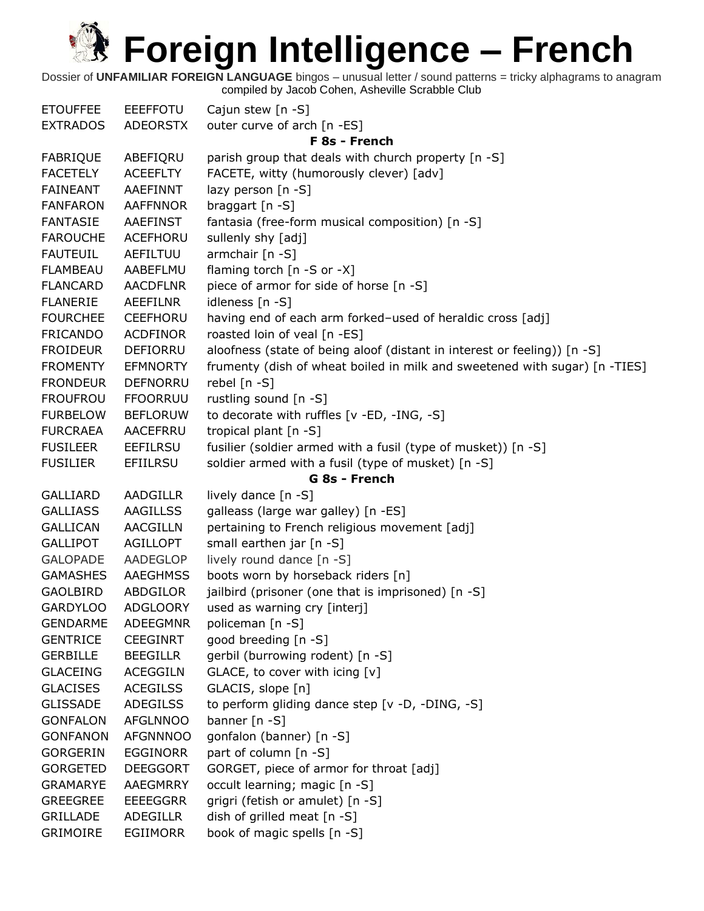| <b>ETOUFFEE</b> | <b>EEEFFOTU</b> | Cajun stew $[n -S]$                                                        |  |  |
|-----------------|-----------------|----------------------------------------------------------------------------|--|--|
| <b>EXTRADOS</b> | <b>ADEORSTX</b> | outer curve of arch [n -ES]                                                |  |  |
|                 | F 8s - French   |                                                                            |  |  |
| <b>FABRIQUE</b> | ABEFIQRU        | parish group that deals with church property [n -S]                        |  |  |
| <b>FACETELY</b> | <b>ACEEFLTY</b> | FACETE, witty (humorously clever) [adv]                                    |  |  |
| <b>FAINEANT</b> | AAEFINNT        | lazy person [n -S]                                                         |  |  |
| <b>FANFARON</b> | <b>AAFFNNOR</b> | braggart [n -S]                                                            |  |  |
| <b>FANTASIE</b> | <b>AAEFINST</b> | fantasia (free-form musical composition) [n -S]                            |  |  |
| <b>FAROUCHE</b> | ACEFHORU        | sullenly shy [adj]                                                         |  |  |
| <b>FAUTEUIL</b> | AEFILTUU        | armchair [n -S]                                                            |  |  |
| <b>FLAMBEAU</b> | AABEFLMU        | flaming torch [n -S or -X]                                                 |  |  |
| <b>FLANCARD</b> | <b>AACDFLNR</b> | piece of armor for side of horse [n -S]                                    |  |  |
| <b>FLANERIE</b> | AEEFILNR        | idleness [n -S]                                                            |  |  |
| <b>FOURCHEE</b> | <b>CEEFHORU</b> | having end of each arm forked-used of heraldic cross [adj]                 |  |  |
| <b>FRICANDO</b> | <b>ACDFINOR</b> | roasted loin of veal [n -ES]                                               |  |  |
| <b>FROIDEUR</b> | DEFIORRU        | aloofness (state of being aloof (distant in interest or feeling)) [n -S]   |  |  |
| <b>FROMENTY</b> | <b>EFMNORTY</b> | frumenty (dish of wheat boiled in milk and sweetened with sugar) [n -TIES] |  |  |
| <b>FRONDEUR</b> | DEFNORRU        | rebel [n -S]                                                               |  |  |
| <b>FROUFROU</b> | <b>FFOORRUU</b> | rustling sound [n -S]                                                      |  |  |
| <b>FURBELOW</b> | <b>BEFLORUW</b> | to decorate with ruffles [v -ED, -ING, -S]                                 |  |  |
| <b>FURCRAEA</b> | <b>AACEFRRU</b> | tropical plant [n -S]                                                      |  |  |
| <b>FUSILEER</b> | <b>EEFILRSU</b> | fusilier (soldier armed with a fusil (type of musket)) [n -S]              |  |  |
|                 |                 |                                                                            |  |  |
| <b>FUSILIER</b> | <b>EFIILRSU</b> | soldier armed with a fusil (type of musket) [n -S]                         |  |  |
|                 |                 | G 8s - French                                                              |  |  |
| <b>GALLIARD</b> | <b>AADGILLR</b> | lively dance [n -S]                                                        |  |  |
| <b>GALLIASS</b> | <b>AAGILLSS</b> | galleass (large war galley) [n -ES]                                        |  |  |
| <b>GALLICAN</b> | <b>AACGILLN</b> | pertaining to French religious movement [adj]                              |  |  |
| <b>GALLIPOT</b> | <b>AGILLOPT</b> | small earthen jar [n -S]                                                   |  |  |
| <b>GALOPADE</b> | AADEGLOP        | lively round dance [n -S]                                                  |  |  |
| <b>GAMASHES</b> | AAEGHMSS        | boots worn by horseback riders [n]                                         |  |  |
| <b>GAOLBIRD</b> | ABDGILOR        | jailbird (prisoner (one that is imprisoned) [n -S]                         |  |  |
| <b>GARDYLOO</b> | <b>ADGLOORY</b> | used as warning cry [interj]                                               |  |  |
| <b>GENDARME</b> | <b>ADEEGMNR</b> | policeman [n -S]                                                           |  |  |
| <b>GENTRICE</b> | <b>CEEGINRT</b> | good breeding [n -S]                                                       |  |  |
| <b>GERBILLE</b> | <b>BEEGILLR</b> | gerbil (burrowing rodent) [n -S]                                           |  |  |
| <b>GLACEING</b> | <b>ACEGGILN</b> | GLACE, to cover with icing [v]                                             |  |  |
| <b>GLACISES</b> | <b>ACEGILSS</b> | GLACIS, slope [n]                                                          |  |  |
| <b>GLISSADE</b> | <b>ADEGILSS</b> | to perform gliding dance step [v -D, -DING, -S]                            |  |  |
| <b>GONFALON</b> | <b>AFGLNNOO</b> | banner $[n - S]$                                                           |  |  |
| <b>GONFANON</b> | <b>AFGNNNOO</b> | gonfalon (banner) [n -S]                                                   |  |  |
| <b>GORGERIN</b> | EGGINORR        | part of column [n -S]                                                      |  |  |
| <b>GORGETED</b> | <b>DEEGGORT</b> | GORGET, piece of armor for throat [adj]                                    |  |  |
| <b>GRAMARYE</b> | AAEGMRRY        | occult learning; magic [n -S]                                              |  |  |
| <b>GREEGREE</b> | <b>EEEEGGRR</b> | grigri (fetish or amulet) [n -S]                                           |  |  |
| <b>GRILLADE</b> | <b>ADEGILLR</b> | dish of grilled meat [n -S]                                                |  |  |
| <b>GRIMOIRE</b> | EGIIMORR        | book of magic spells [n -S]                                                |  |  |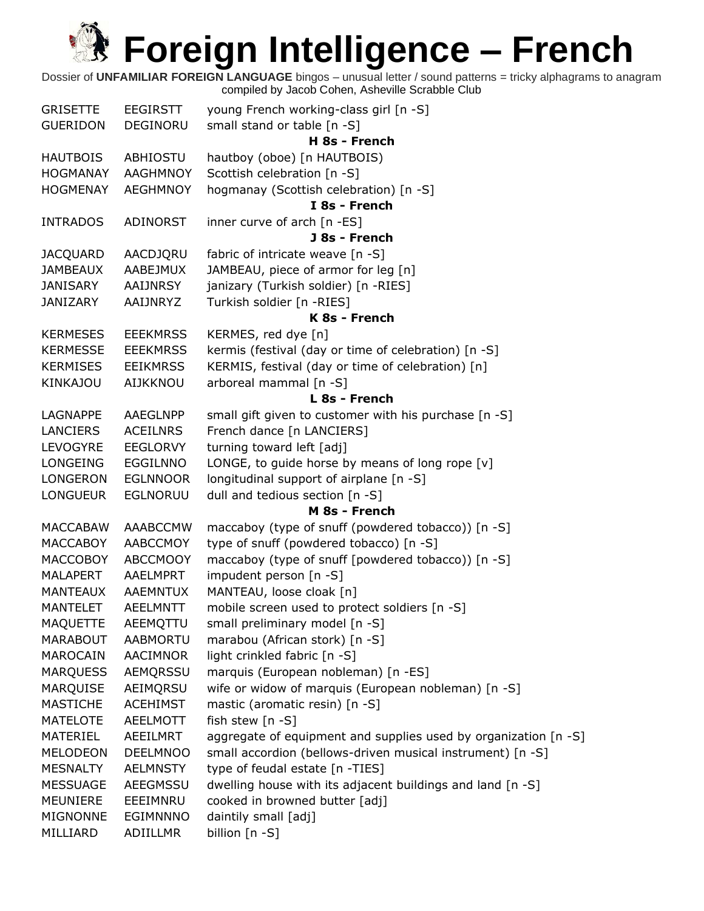| <b>GRISETTE</b> | EEGIRSTT        | young French working-class girl [n -S]                          |
|-----------------|-----------------|-----------------------------------------------------------------|
| <b>GUERIDON</b> | DEGINORU        | small stand or table [n -S]                                     |
|                 |                 | H 8s - French                                                   |
| <b>HAUTBOIS</b> | ABHIOSTU        | hautboy (oboe) [n HAUTBOIS)                                     |
| <b>HOGMANAY</b> | <b>AAGHMNOY</b> | Scottish celebration [n -S]                                     |
| <b>HOGMENAY</b> | <b>AEGHMNOY</b> | hogmanay (Scottish celebration) [n -S]                          |
|                 |                 | I 8s - French                                                   |
| <b>INTRADOS</b> | ADINORST        | inner curve of arch [n -ES]                                     |
|                 |                 | J 8s - French                                                   |
| <b>JACQUARD</b> | AACDJQRU        | fabric of intricate weave [n -S]                                |
| <b>JAMBEAUX</b> | AABEJMUX        | JAMBEAU, piece of armor for leg [n]                             |
| JANISARY        | AAIJNRSY        | janizary (Turkish soldier) [n -RIES]                            |
| JANIZARY        | AAIJNRYZ        | Turkish soldier [n -RIES]                                       |
|                 |                 | K 8s - French                                                   |
| <b>KERMESES</b> | <b>EEEKMRSS</b> | KERMES, red dye [n]                                             |
| <b>KERMESSE</b> | <b>EEEKMRSS</b> | kermis (festival (day or time of celebration) [n -S]            |
| <b>KERMISES</b> | <b>EEIKMRSS</b> | KERMIS, festival (day or time of celebration) [n]               |
|                 |                 |                                                                 |
| <b>KINKAJOU</b> | AIJKKNOU        | arboreal mammal [n -S]                                          |
|                 |                 | L 8s - French                                                   |
| <b>LAGNAPPE</b> | AAEGLNPP        | small gift given to customer with his purchase [n -S]           |
| <b>LANCIERS</b> | <b>ACEILNRS</b> | French dance [n LANCIERS]                                       |
| LEVOGYRE        | <b>EEGLORVY</b> | turning toward left [adj]                                       |
| <b>LONGEING</b> | EGGILNNO        | LONGE, to guide horse by means of long rope $[v]$               |
| <b>LONGERON</b> | <b>EGLNNOOR</b> | longitudinal support of airplane [n -S]                         |
| <b>LONGUEUR</b> | <b>EGLNORUU</b> | dull and tedious section [n -S]                                 |
|                 |                 | M 8s - French                                                   |
| <b>MACCABAW</b> | <b>AAABCCMW</b> | maccaboy (type of snuff (powdered tobacco)) [n -S]              |
| <b>MACCABOY</b> | <b>AABCCMOY</b> | type of snuff (powdered tobacco) [n -S]                         |
| <b>MACCOBOY</b> | <b>ABCCMOOY</b> | maccaboy (type of snuff [powdered tobacco)) [n -S]              |
| <b>MALAPERT</b> | AAELMPRT        | impudent person [n -S]                                          |
| <b>MANTEAUX</b> | <b>AAEMNTUX</b> | MANTEAU, loose cloak [n]                                        |
| <b>MANTELET</b> | <b>AEELMNTT</b> | mobile screen used to protect soldiers [n -S]                   |
| <b>MAQUETTE</b> | AEEMQTTU        | small preliminary model [n -S]                                  |
| <b>MARABOUT</b> | AABMORTU        | marabou (African stork) [n -S]                                  |
| MAROCAIN        | AACIMNOR        | light crinkled fabric [n -S]                                    |
| <b>MARQUESS</b> | AEMQRSSU        | marquis (European nobleman) [n -ES]                             |
| <b>MARQUISE</b> | AEIMQRSU        | wife or widow of marquis (European nobleman) [n -S]             |
| <b>MASTICHE</b> | <b>ACEHIMST</b> | mastic (aromatic resin) [n -S]                                  |
| <b>MATELOTE</b> | <b>AEELMOTT</b> | fish stew [n -S]                                                |
| MATERIEL        | AEEILMRT        | aggregate of equipment and supplies used by organization [n -S] |
| <b>MELODEON</b> | <b>DEELMNOO</b> | small accordion (bellows-driven musical instrument) [n -S]      |
| <b>MESNALTY</b> | <b>AELMNSTY</b> | type of feudal estate [n -TIES]                                 |
| <b>MESSUAGE</b> | AEEGMSSU        | dwelling house with its adjacent buildings and land [n -S]      |
| MEUNIERE        | EEEIMNRU        | cooked in browned butter [adj]                                  |
| <b>MIGNONNE</b> | <b>EGIMNNNO</b> | daintily small [adj]                                            |
| MILLIARD        | ADIILLMR        | billion [n -S]                                                  |
|                 |                 |                                                                 |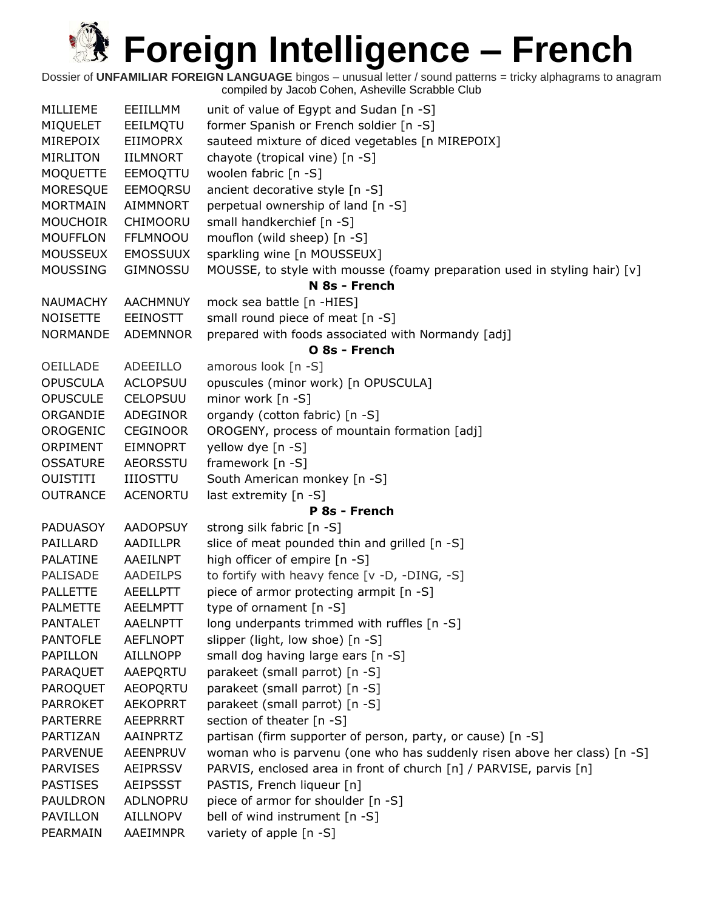| MILLIEME        | EEIILLMM        | unit of value of Egypt and Sudan [n -S]                                    |
|-----------------|-----------------|----------------------------------------------------------------------------|
| <b>MIQUELET</b> | EEILMQTU        | former Spanish or French soldier [n -S]                                    |
| MIREPOIX        | <b>EIIMOPRX</b> | sauteed mixture of diced vegetables [n MIREPOIX]                           |
| <b>MIRLITON</b> | <b>IILMNORT</b> | chayote (tropical vine) [n -S]                                             |
| <b>MOQUETTE</b> | EEMOQTTU        | woolen fabric [n -S]                                                       |
| <b>MORESQUE</b> | EEMOQRSU        | ancient decorative style [n -S]                                            |
| <b>MORTMAIN</b> | AIMMNORT        | perpetual ownership of land [n -S]                                         |
| <b>MOUCHOIR</b> | CHIMOORU        | small handkerchief [n -S]                                                  |
| <b>MOUFFLON</b> | <b>FFLMNOOU</b> | mouflon (wild sheep) [n -S]                                                |
| <b>MOUSSEUX</b> | <b>EMOSSUUX</b> | sparkling wine [n MOUSSEUX]                                                |
| <b>MOUSSING</b> | <b>GIMNOSSU</b> | MOUSSE, to style with mousse (foamy preparation used in styling hair) [v]  |
|                 |                 | N 8s - French                                                              |
| <b>NAUMACHY</b> | <b>AACHMNUY</b> | mock sea battle [n -HIES]                                                  |
| <b>NOISETTE</b> | <b>EEINOSTT</b> | small round piece of meat [n -S]                                           |
| <b>NORMANDE</b> | <b>ADEMNNOR</b> | prepared with foods associated with Normandy [adj]                         |
|                 |                 | O 8s - French                                                              |
| OEILLADE        | <b>ADEEILLO</b> | amorous look [n -S]                                                        |
| <b>OPUSCULA</b> | <b>ACLOPSUU</b> | opuscules (minor work) [n OPUSCULA]                                        |
| <b>OPUSCULE</b> | <b>CELOPSUU</b> | minor work [n -S]                                                          |
| ORGANDIE        | ADEGINOR        | organdy (cotton fabric) [n -S]                                             |
| OROGENIC        | <b>CEGINOOR</b> | OROGENY, process of mountain formation [adj]                               |
| ORPIMENT        | <b>EIMNOPRT</b> | yellow dye [n -S]                                                          |
| <b>OSSATURE</b> | <b>AEORSSTU</b> | framework [n -S]                                                           |
| <b>OUISTITI</b> | <b>IIIOSTTU</b> | South American monkey [n -S]                                               |
| <b>OUTRANCE</b> | <b>ACENORTU</b> | last extremity [n -S]                                                      |
|                 |                 | P 8s - French                                                              |
| <b>PADUASOY</b> | <b>AADOPSUY</b> | strong silk fabric [n -S]                                                  |
| PAILLARD        | <b>AADILLPR</b> | slice of meat pounded thin and grilled [n -S]                              |
| PALATINE        | <b>AAEILNPT</b> | high officer of empire [n -S]                                              |
| PALISADE        | AADEILPS        | to fortify with heavy fence [v -D, -DING, -S]                              |
| <b>PALLETTE</b> | <b>AEELLPTT</b> | piece of armor protecting armpit [n -S]                                    |
| <b>PALMETTE</b> | <b>AEELMPTT</b> | type of ornament $[n - S]$                                                 |
| <b>PANTALET</b> | <b>AAELNPTT</b> | long underpants trimmed with ruffles [n -S]                                |
| <b>PANTOFLE</b> | <b>AEFLNOPT</b> | slipper (light, low shoe) [n -S]                                           |
| PAPILLON        | <b>AILLNOPP</b> | small dog having large ears [n -S]                                         |
| <b>PARAQUET</b> | AAEPQRTU        | parakeet (small parrot) [n -S]                                             |
| PAROQUET        | <b>AEOPORTU</b> | parakeet (small parrot) [n -S]                                             |
| <b>PARROKET</b> | <b>AEKOPRRT</b> | parakeet (small parrot) [n -S]                                             |
| <b>PARTERRE</b> | <b>AEEPRRRT</b> | section of theater [n -S]                                                  |
| PARTIZAN        | AAINPRTZ        | partisan (firm supporter of person, party, or cause) [n -S]                |
| <b>PARVENUE</b> | <b>AEENPRUV</b> | woman who is parvenu (one who has suddenly risen above her class) $[n -S]$ |
| <b>PARVISES</b> | <b>AEIPRSSV</b> | PARVIS, enclosed area in front of church [n] / PARVISE, parvis [n]         |
| <b>PASTISES</b> | <b>AEIPSSST</b> | PASTIS, French liqueur [n]                                                 |
| PAULDRON        | ADLNOPRU        | piece of armor for shoulder [n -S]                                         |
| PAVILLON        | AILLNOPV        | bell of wind instrument [n -S]                                             |
| PEARMAIN        | AAEIMNPR        | variety of apple [n -S]                                                    |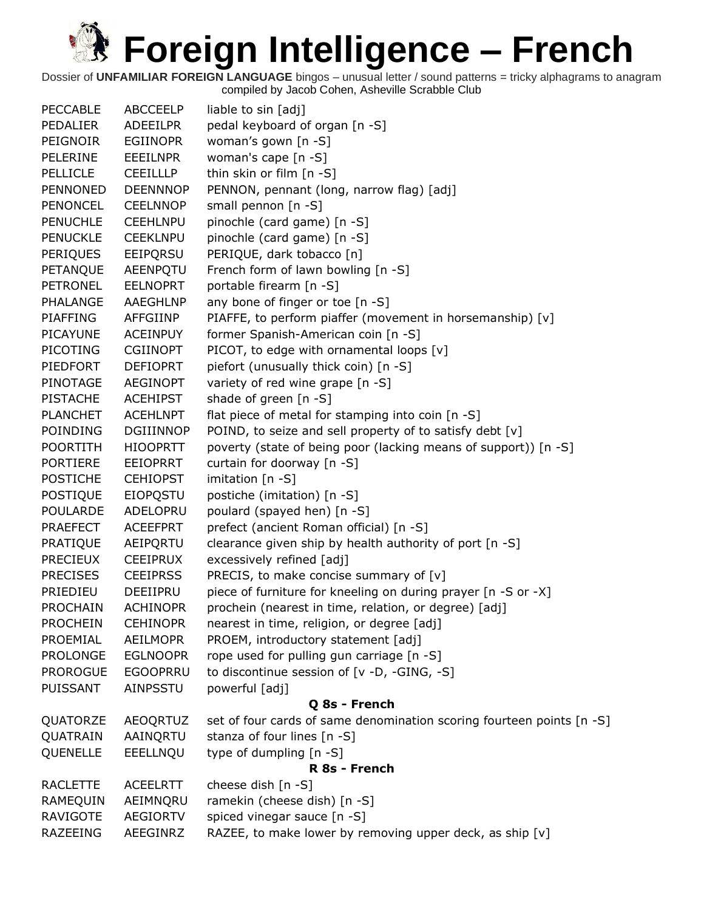| <b>PECCABLE</b> | <b>ABCCEELP</b> | liable to sin [adj]                                                   |
|-----------------|-----------------|-----------------------------------------------------------------------|
| <b>PEDALIER</b> | <b>ADEEILPR</b> | pedal keyboard of organ [n -S]                                        |
| PEIGNOIR        | <b>EGIINOPR</b> | woman's gown [n -S]                                                   |
| PELERINE        | <b>EEEILNPR</b> | woman's cape [n -S]                                                   |
| PELLICLE        | <b>CEEILLLP</b> | thin skin or film [n -S]                                              |
| <b>PENNONED</b> | <b>DEENNNOP</b> | PENNON, pennant (long, narrow flag) [adj]                             |
| <b>PENONCEL</b> | <b>CEELNNOP</b> | small pennon [n -S]                                                   |
| <b>PENUCHLE</b> | <b>CEEHLNPU</b> | pinochle (card game) [n -S]                                           |
| <b>PENUCKLE</b> | <b>CEEKLNPU</b> | pinochle (card game) [n -S]                                           |
| <b>PERIQUES</b> | EEIPQRSU        | PERIQUE, dark tobacco [n]                                             |
| PETANQUE        | AEENPQTU        | French form of lawn bowling [n -S]                                    |
| <b>PETRONEL</b> | <b>EELNOPRT</b> | portable firearm [n -S]                                               |
| PHALANGE        | AAEGHLNP        | any bone of finger or toe [n -S]                                      |
| <b>PIAFFING</b> | AFFGIINP        | PIAFFE, to perform piaffer (movement in horsemanship) [v]             |
| <b>PICAYUNE</b> | <b>ACEINPUY</b> | former Spanish-American coin [n -S]                                   |
| PICOTING        | <b>CGIINOPT</b> | PICOT, to edge with ornamental loops [v]                              |
| PIEDFORT        | <b>DEFIOPRT</b> | piefort (unusually thick coin) [n -S]                                 |
| PINOTAGE        | <b>AEGINOPT</b> | variety of red wine grape [n -S]                                      |
| <b>PISTACHE</b> | <b>ACEHIPST</b> | shade of green [n -S]                                                 |
| <b>PLANCHET</b> | <b>ACEHLNPT</b> | flat piece of metal for stamping into coin [n -S]                     |
| POINDING        | DGIIINNOP       | POIND, to seize and sell property of to satisfy debt [v]              |
| <b>POORTITH</b> | <b>HIOOPRTT</b> | poverty (state of being poor (lacking means of support)) [n -S]       |
| <b>PORTIERE</b> | <b>EEIOPRRT</b> | curtain for doorway [n -S]                                            |
| <b>POSTICHE</b> | <b>CEHIOPST</b> | imitation [n -S]                                                      |
| <b>POSTIQUE</b> | <b>EIOPQSTU</b> | postiche (imitation) [n -S]                                           |
| POULARDE        | ADELOPRU        | poulard (spayed hen) [n -S]                                           |
| <b>PRAEFECT</b> | <b>ACEEFPRT</b> | prefect (ancient Roman official) [n -S]                               |
| PRATIQUE        | AEIPQRTU        | clearance given ship by health authority of port [n -S]               |
| <b>PRECIEUX</b> | <b>CEEIPRUX</b> | excessively refined [adj]                                             |
| <b>PRECISES</b> | <b>CEEIPRSS</b> | PRECIS, to make concise summary of [v]                                |
| PRIEDIEU        | DEEIIPRU        | piece of furniture for kneeling on during prayer [n -S or -X]         |
| <b>PROCHAIN</b> | <b>ACHINOPR</b> | prochein (nearest in time, relation, or degree) [adj]                 |
| <b>PROCHEIN</b> | <b>CEHINOPR</b> | nearest in time, religion, or degree [adj]                            |
| PROEMIAL        | <b>AEILMOPR</b> | PROEM, introductory statement [adj]                                   |
| <b>PROLONGE</b> | <b>EGLNOOPR</b> | rope used for pulling gun carriage [n -S]                             |
| <b>PROROGUE</b> | <b>EGOOPRRU</b> | to discontinue session of [v -D, -GING, -S]                           |
| <b>PUISSANT</b> | <b>AINPSSTU</b> | powerful [adj]                                                        |
|                 |                 | Q 8s - French                                                         |
| QUATORZE        | <b>AEOQRTUZ</b> | set of four cards of same denomination scoring fourteen points [n -S] |
| QUATRAIN        | AAINQRTU        | stanza of four lines [n -S]                                           |
| QUENELLE        | EEELLNQU        | type of dumpling [n -S]                                               |
|                 |                 | R 8s - French                                                         |
| <b>RACLETTE</b> | <b>ACEELRTT</b> | cheese dish [n -S]                                                    |
| RAMEQUIN        | AEIMNQRU        | ramekin (cheese dish) [n -S]                                          |
| <b>RAVIGOTE</b> | <b>AEGIORTV</b> | spiced vinegar sauce [n -S]                                           |
| RAZEEING        | AEEGINRZ        | RAZEE, to make lower by removing upper deck, as ship [v]              |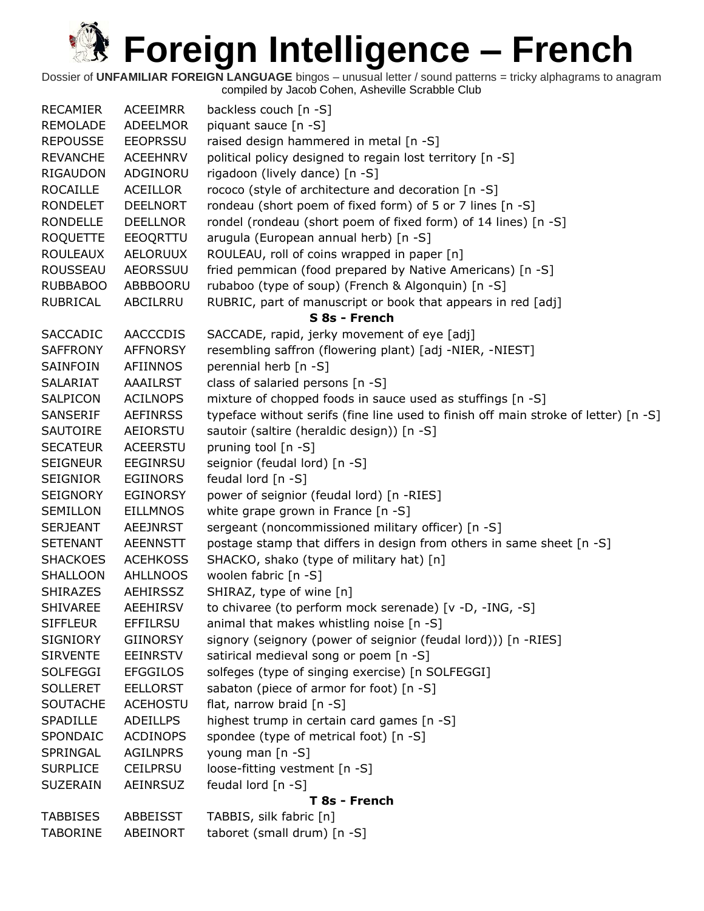| <b>RECAMIER</b> | <b>ACEEIMRR</b> | backless couch [n -S]                                                               |
|-----------------|-----------------|-------------------------------------------------------------------------------------|
| <b>REMOLADE</b> | ADEELMOR        | piquant sauce [n -S]                                                                |
| <b>REPOUSSE</b> | <b>EEOPRSSU</b> | raised design hammered in metal [n -S]                                              |
| <b>REVANCHE</b> | <b>ACEEHNRV</b> | political policy designed to regain lost territory [n -S]                           |
| <b>RIGAUDON</b> | ADGINORU        | rigadoon (lively dance) [n -S]                                                      |
| <b>ROCAILLE</b> | <b>ACEILLOR</b> | rococo (style of architecture and decoration [n -S]                                 |
| <b>RONDELET</b> | <b>DEELNORT</b> | rondeau (short poem of fixed form) of 5 or 7 lines [n -S]                           |
| RONDELLE        | <b>DEELLNOR</b> | rondel (rondeau (short poem of fixed form) of 14 lines) [n -S]                      |
| <b>ROQUETTE</b> | EEOQRTTU        | arugula (European annual herb) [n -S]                                               |
| <b>ROULEAUX</b> | <b>AELORUUX</b> | ROULEAU, roll of coins wrapped in paper [n]                                         |
| ROUSSEAU        | <b>AEORSSUU</b> | fried pemmican (food prepared by Native Americans) [n -S]                           |
| <b>RUBBABOO</b> | ABBBOORU        | rubaboo (type of soup) (French & Algonquin) [n -S]                                  |
| RUBRICAL        | ABCILRRU        | RUBRIC, part of manuscript or book that appears in red [adj]                        |
|                 |                 | S 8s - French                                                                       |
| <b>SACCADIC</b> | <b>AACCCDIS</b> | SACCADE, rapid, jerky movement of eye [adj]                                         |
| <b>SAFFRONY</b> | <b>AFFNORSY</b> | resembling saffron (flowering plant) [adj -NIER, -NIEST]                            |
| <b>SAINFOIN</b> | <b>AFIINNOS</b> | perennial herb [n -S]                                                               |
| SALARIAT        | <b>AAAILRST</b> | class of salaried persons [n -S]                                                    |
| SALPICON        | <b>ACILNOPS</b> | mixture of chopped foods in sauce used as stuffings [n -S]                          |
| SANSERIF        | <b>AEFINRSS</b> | typeface without serifs (fine line used to finish off main stroke of letter) [n -S] |
| SAUTOIRE        | AEIORSTU        | sautoir (saltire (heraldic design)) [n -S]                                          |
| <b>SECATEUR</b> | <b>ACEERSTU</b> | pruning tool [n -S]                                                                 |
| <b>SEIGNEUR</b> | <b>EEGINRSU</b> | seignior (feudal lord) [n -S]                                                       |
| SEIGNIOR        | <b>EGIINORS</b> | feudal lord [n -S]                                                                  |
| <b>SEIGNORY</b> | <b>EGINORSY</b> | power of seignior (feudal lord) [n -RIES]                                           |
| SEMILLON        | <b>EILLMNOS</b> | white grape grown in France [n -S]                                                  |
| <b>SERJEANT</b> | <b>AEEJNRST</b> | sergeant (noncommissioned military officer) [n -S]                                  |
| <b>SETENANT</b> | <b>AEENNSTT</b> | postage stamp that differs in design from others in same sheet [n -S]               |
| <b>SHACKOES</b> | <b>ACEHKOSS</b> | SHACKO, shako (type of military hat) [n]                                            |
| SHALLOON        | <b>AHLLNOOS</b> | woolen fabric [n -S]                                                                |
| <b>SHIRAZES</b> | <b>AEHIRSSZ</b> | SHIRAZ, type of wine [n]                                                            |
| <b>SHIVAREE</b> | <b>AEEHIRSV</b> | to chivaree (to perform mock serenade) [v -D, -ING, -S]                             |
| <b>SIFFLEUR</b> | <b>EFFILRSU</b> | animal that makes whistling noise $[n - S]$                                         |
| <b>SIGNIORY</b> | <b>GIINORSY</b> | signory (seignory (power of seignior (feudal lord))) [n -RIES]                      |
| <b>SIRVENTE</b> | <b>EEINRSTV</b> | satirical medieval song or poem [n -S]                                              |
| <b>SOLFEGGI</b> | <b>EFGGILOS</b> | solfeges (type of singing exercise) [n SOLFEGGI]                                    |
| <b>SOLLERET</b> | <b>EELLORST</b> | sabaton (piece of armor for foot) [n -S]                                            |
| <b>SOUTACHE</b> | <b>ACEHOSTU</b> | flat, narrow braid [n -S]                                                           |
| SPADILLE        | <b>ADEILLPS</b> | highest trump in certain card games [n -S]                                          |
| SPONDAIC        | <b>ACDINOPS</b> | spondee (type of metrical foot) [n -S]                                              |
| SPRINGAL        | <b>AGILNPRS</b> | young man [n -S]                                                                    |
| <b>SURPLICE</b> | <b>CEILPRSU</b> | loose-fitting vestment [n -S]                                                       |
| <b>SUZERAIN</b> | AEINRSUZ        | feudal lord $[n - S]$                                                               |
| T 8s - French   |                 |                                                                                     |
| <b>TABBISES</b> | ABBEISST        | TABBIS, silk fabric [n]                                                             |
| <b>TABORINE</b> | ABEINORT        | taboret (small drum) [n -S]                                                         |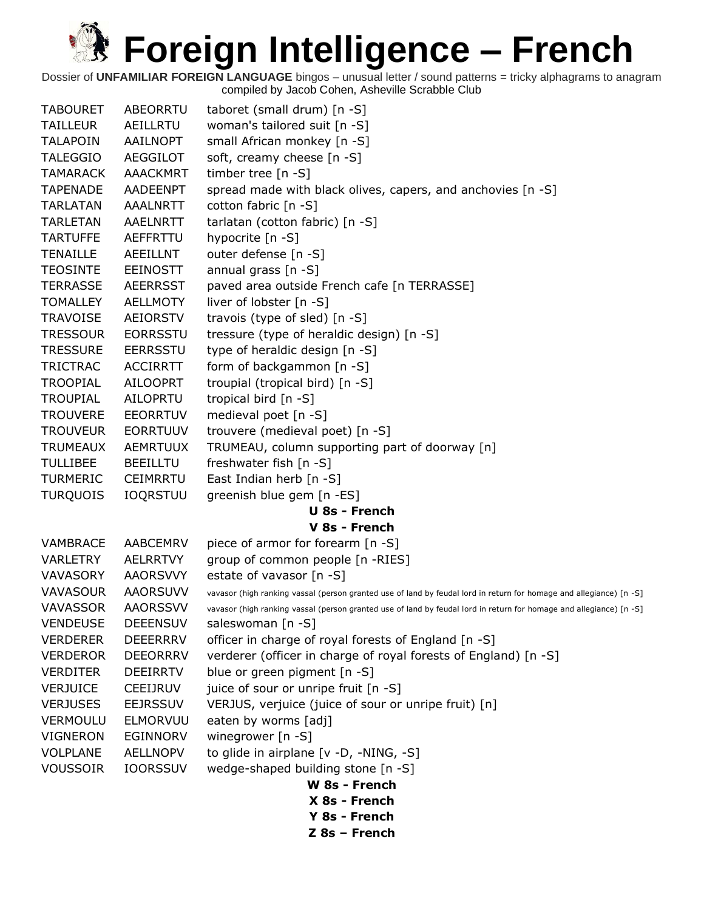| <b>TABOURET</b> | ABEORRTU        | taboret (small drum) [n -S]                                                                                         |
|-----------------|-----------------|---------------------------------------------------------------------------------------------------------------------|
| <b>TAILLEUR</b> | AEILLRTU        | woman's tailored suit [n -S]                                                                                        |
| <b>TALAPOIN</b> | AAILNOPT        | small African monkey [n -S]                                                                                         |
| <b>TALEGGIO</b> | <b>AEGGILOT</b> | soft, creamy cheese [n -S]                                                                                          |
| <b>TAMARACK</b> | <b>AAACKMRT</b> | timber tree $[n - S]$                                                                                               |
| <b>TAPENADE</b> | AADEENPT        | spread made with black olives, capers, and anchovies [n -S]                                                         |
| <b>TARLATAN</b> | <b>AAALNRTT</b> | cotton fabric [n -S]                                                                                                |
| <b>TARLETAN</b> | <b>AAELNRTT</b> | tarlatan (cotton fabric) [n -S]                                                                                     |
| <b>TARTUFFE</b> | AEFFRTTU        | hypocrite [n -S]                                                                                                    |
| <b>TENAILLE</b> | <b>AEEILLNT</b> | outer defense [n -S]                                                                                                |
| <b>TEOSINTE</b> | <b>EEINOSTT</b> | annual grass [n -S]                                                                                                 |
| <b>TERRASSE</b> | <b>AEERRSST</b> | paved area outside French cafe [n TERRASSE]                                                                         |
| <b>TOMALLEY</b> | AELLMOTY        | liver of lobster [n -S]                                                                                             |
| <b>TRAVOISE</b> | <b>AEIORSTV</b> | travois (type of sled) [n -S]                                                                                       |
| <b>TRESSOUR</b> | <b>EORRSSTU</b> | tressure (type of heraldic design) [n -S]                                                                           |
| <b>TRESSURE</b> | <b>EERRSSTU</b> | type of heraldic design [n -S]                                                                                      |
| <b>TRICTRAC</b> | <b>ACCIRRTT</b> | form of backgammon [n -S]                                                                                           |
| <b>TROOPIAL</b> | <b>AILOOPRT</b> | troupial (tropical bird) [n -S]                                                                                     |
| <b>TROUPIAL</b> | AILOPRTU        | tropical bird [n -S]                                                                                                |
| <b>TROUVERE</b> | <b>EEORRTUV</b> | medieval poet [n -S]                                                                                                |
| <b>TROUVEUR</b> | <b>EORRTUUV</b> | trouvere (medieval poet) [n -S]                                                                                     |
| <b>TRUMEAUX</b> | <b>AEMRTUUX</b> | TRUMEAU, column supporting part of doorway [n]                                                                      |
| <b>TULLIBEE</b> | <b>BEEILLTU</b> | freshwater fish [n -S]                                                                                              |
| <b>TURMERIC</b> | CEIMRRTU        | East Indian herb [n -S]                                                                                             |
| <b>TURQUOIS</b> | <b>IOQRSTUU</b> | greenish blue gem [n -ES]                                                                                           |
|                 |                 | <b>U 8s - French</b>                                                                                                |
|                 |                 | V 8s - French                                                                                                       |
| <b>VAMBRACE</b> | AABCEMRV        | piece of armor for forearm [n -S]                                                                                   |
| <b>VARLETRY</b> | <b>AELRRTVY</b> | group of common people [n -RIES]                                                                                    |
| VAVASORY        | <b>AAORSVVY</b> | estate of vavasor [n -S]                                                                                            |
| <b>VAVASOUR</b> | <b>AAORSUVV</b> | vavasor (high ranking vassal (person granted use of land by feudal lord in return for homage and allegiance) [n -S] |
| <b>VAVASSOR</b> | <b>AAORSSVV</b> | vavasor (high ranking vassal (person granted use of land by feudal lord in return for homage and allegiance) [n -S] |
| <b>VENDEUSE</b> | <b>DEEENSUV</b> | saleswoman [n -S]                                                                                                   |
| <b>VERDERER</b> | <b>DEEERRRV</b> | officer in charge of royal forests of England [n -S]                                                                |
| <b>VERDEROR</b> | <b>DEEORRRV</b> | verderer (officer in charge of royal forests of England) [n -S]                                                     |
| <b>VERDITER</b> | <b>DEEIRRTV</b> | blue or green pigment [n -S]                                                                                        |
| <b>VERJUICE</b> | CEEIJRUV        | juice of sour or unripe fruit [n -S]                                                                                |
| <b>VERJUSES</b> | <b>EEJRSSUV</b> | VERJUS, verjuice (juice of sour or unripe fruit) [n]                                                                |
| <b>VERMOULU</b> | ELMORVUU        | eaten by worms [adj]                                                                                                |
| <b>VIGNERON</b> | <b>EGINNORV</b> | winegrower [n -S]                                                                                                   |
| <b>VOLPLANE</b> | AELLNOPV        | to glide in airplane [v -D, -NING, -S]                                                                              |
| <b>VOUSSOIR</b> | <b>IOORSSUV</b> | wedge-shaped building stone [n -S]                                                                                  |
|                 |                 | W 8s - French                                                                                                       |
|                 |                 | X 8s - French                                                                                                       |
|                 |                 | Y 8s - French                                                                                                       |
|                 |                 | Z 8s - French                                                                                                       |
|                 |                 |                                                                                                                     |